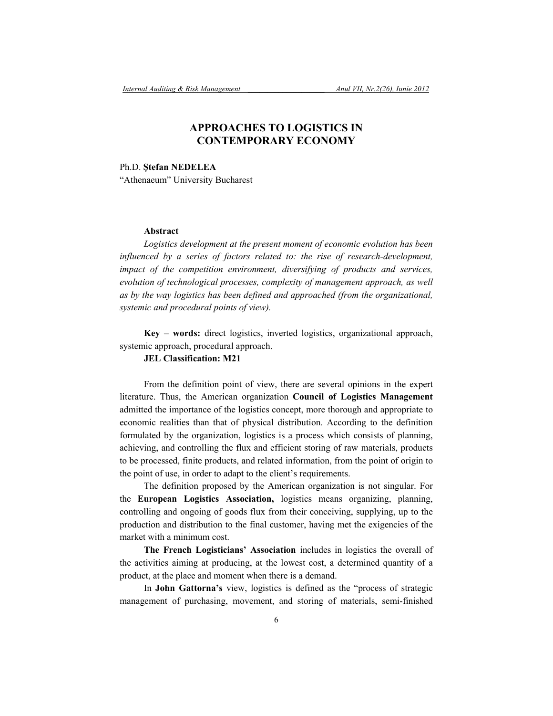## **APPROACHES TO LOGISTICS IN CONTEMPORARY ECONOMY**

Ph.D. **Ştefan NEDELEA** "Athenaeum" University Bucharest

## **Abstract**

*Logistics development at the present moment of economic evolution has been influenced by a series of factors related to: the rise of research-development, impact of the competition environment, diversifying of products and services, evolution of technological processes, complexity of management approach, as well as by the way logistics has been defined and approached (from the organizational, systemic and procedural points of view).* 

**Key – words:** direct logistics, inverted logistics, organizational approach, systemic approach, procedural approach.

## **JEL Classification: M21**

From the definition point of view, there are several opinions in the expert literature. Thus, the American organization **Council of Logistics Management**  admitted the importance of the logistics concept, more thorough and appropriate to economic realities than that of physical distribution. According to the definition formulated by the organization, logistics is a process which consists of planning, achieving, and controlling the flux and efficient storing of raw materials, products to be processed, finite products, and related information, from the point of origin to the point of use, in order to adapt to the client's requirements.

The definition proposed by the American organization is not singular. For the **European Logistics Association,** logistics means organizing, planning, controlling and ongoing of goods flux from their conceiving, supplying, up to the production and distribution to the final customer, having met the exigencies of the market with a minimum cost.

**The French Logisticians' Association** includes in logistics the overall of the activities aiming at producing, at the lowest cost, a determined quantity of a product, at the place and moment when there is a demand.

In **John Gattorna's** view, logistics is defined as the "process of strategic management of purchasing, movement, and storing of materials, semi-finished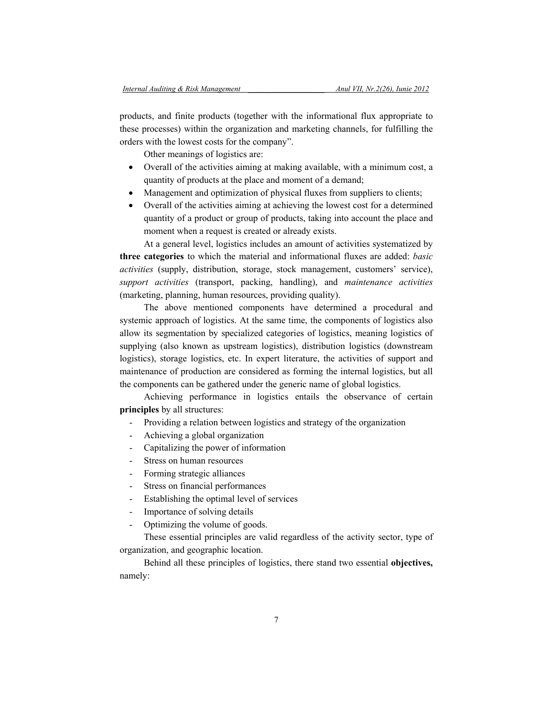products, and finite products (together with the informational flux appropriate to these processes) within the organization and marketing channels, for fulfilling the orders with the lowest costs for the company".

Other meanings of logistics are:

- Overall of the activities aiming at making available, with a minimum cost, a quantity of products at the place and moment of a demand;
- Management and optimization of physical fluxes from suppliers to clients;
- Overall of the activities aiming at achieving the lowest cost for a determined quantity of a product or group of products, taking into account the place and moment when a request is created or already exists.

At a general level, logistics includes an amount of activities systematized by **three categories** to which the material and informational fluxes are added: *basic activities* (supply, distribution, storage, stock management, customers' service), *support activities* (transport, packing, handling), and *maintenance activities*  (marketing, planning, human resources, providing quality).

The above mentioned components have determined a procedural and systemic approach of logistics. At the same time, the components of logistics also allow its segmentation by specialized categories of logistics, meaning logistics of supplying (also known as upstream logistics), distribution logistics (downstream logistics), storage logistics, etc. In expert literature, the activities of support and maintenance of production are considered as forming the internal logistics, but all the components can be gathered under the generic name of global logistics.

Achieving performance in logistics entails the observance of certain **principles** by all structures:

- Providing a relation between logistics and strategy of the organization
- Achieving a global organization
- Capitalizing the power of information
- Stress on human resources
- Forming strategic alliances
- Stress on financial performances
- Establishing the optimal level of services
- Importance of solving details
- Optimizing the volume of goods.

These essential principles are valid regardless of the activity sector, type of organization, and geographic location.

Behind all these principles of logistics, there stand two essential **objectives,**  namely: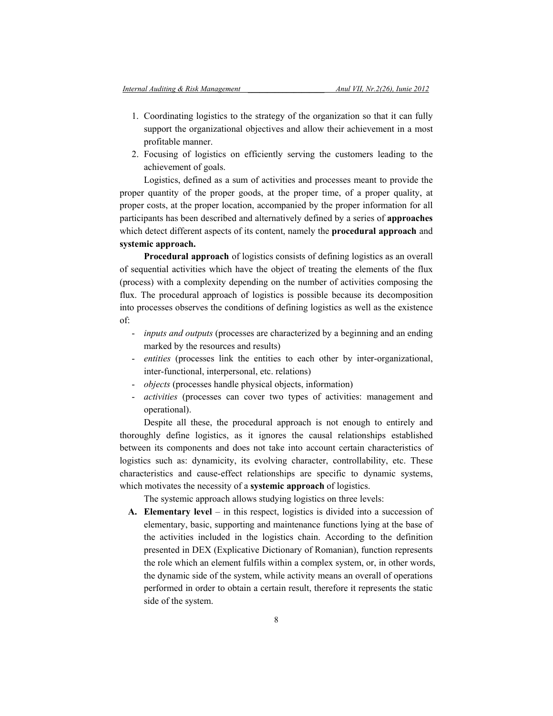- 1. Coordinating logistics to the strategy of the organization so that it can fully support the organizational objectives and allow their achievement in a most profitable manner.
- 2. Focusing of logistics on efficiently serving the customers leading to the achievement of goals.

Logistics, defined as a sum of activities and processes meant to provide the proper quantity of the proper goods, at the proper time, of a proper quality, at proper costs, at the proper location, accompanied by the proper information for all participants has been described and alternatively defined by a series of **approaches**  which detect different aspects of its content, namely the **procedural approach** and **systemic approach.** 

**Procedural approach** of logistics consists of defining logistics as an overall of sequential activities which have the object of treating the elements of the flux (process) with a complexity depending on the number of activities composing the flux. The procedural approach of logistics is possible because its decomposition into processes observes the conditions of defining logistics as well as the existence of:

- *inputs and outputs* (processes are characterized by a beginning and an ending marked by the resources and results)
- *entities* (processes link the entities to each other by inter-organizational, inter-functional, interpersonal, etc. relations)
- *objects* (processes handle physical objects, information)
- *activities* (processes can cover two types of activities: management and operational).

Despite all these, the procedural approach is not enough to entirely and thoroughly define logistics, as it ignores the causal relationships established between its components and does not take into account certain characteristics of logistics such as: dynamicity, its evolving character, controllability, etc. These characteristics and cause-effect relationships are specific to dynamic systems, which motivates the necessity of a **systemic approach** of logistics.

The systemic approach allows studying logistics on three levels:

**A. Elementary level** – in this respect, logistics is divided into a succession of elementary, basic, supporting and maintenance functions lying at the base of the activities included in the logistics chain. According to the definition presented in DEX (Explicative Dictionary of Romanian), function represents the role which an element fulfils within a complex system, or, in other words, the dynamic side of the system, while activity means an overall of operations performed in order to obtain a certain result, therefore it represents the static side of the system.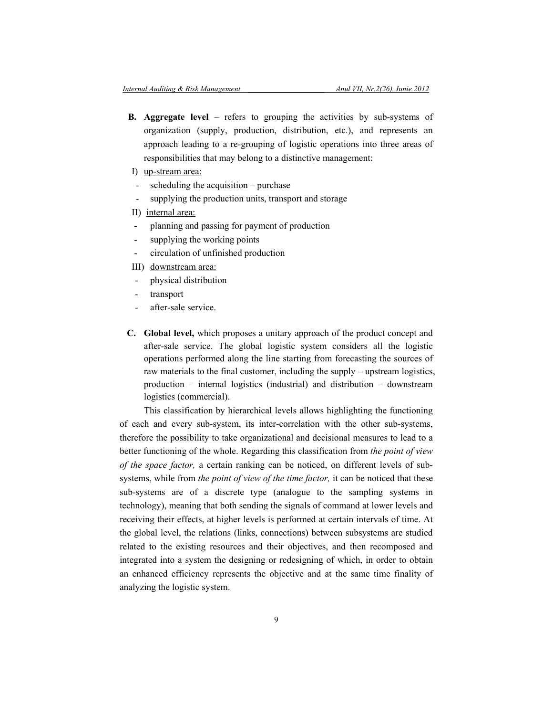- **B. Aggregate level**  refers to grouping the activities by sub-systems of organization (supply, production, distribution, etc.), and represents an approach leading to a re-grouping of logistic operations into three areas of responsibilities that may belong to a distinctive management:
- I) up-stream area:
- scheduling the acquisition  $-$  purchase
- supplying the production units, transport and storage
- II) internal area:
- planning and passing for payment of production
- supplying the working points
- circulation of unfinished production
- III) downstream area:
- physical distribution
- transport
- after-sale service.
- **C. Global level,** which proposes a unitary approach of the product concept and after-sale service. The global logistic system considers all the logistic operations performed along the line starting from forecasting the sources of raw materials to the final customer, including the supply – upstream logistics, production – internal logistics (industrial) and distribution – downstream logistics (commercial).

This classification by hierarchical levels allows highlighting the functioning of each and every sub-system, its inter-correlation with the other sub-systems, therefore the possibility to take organizational and decisional measures to lead to a better functioning of the whole. Regarding this classification from *the point of view of the space factor,* a certain ranking can be noticed, on different levels of subsystems, while from *the point of view of the time factor,* it can be noticed that these sub-systems are of a discrete type (analogue to the sampling systems in technology), meaning that both sending the signals of command at lower levels and receiving their effects, at higher levels is performed at certain intervals of time. At the global level, the relations (links, connections) between subsystems are studied related to the existing resources and their objectives, and then recomposed and integrated into a system the designing or redesigning of which, in order to obtain an enhanced efficiency represents the objective and at the same time finality of analyzing the logistic system.